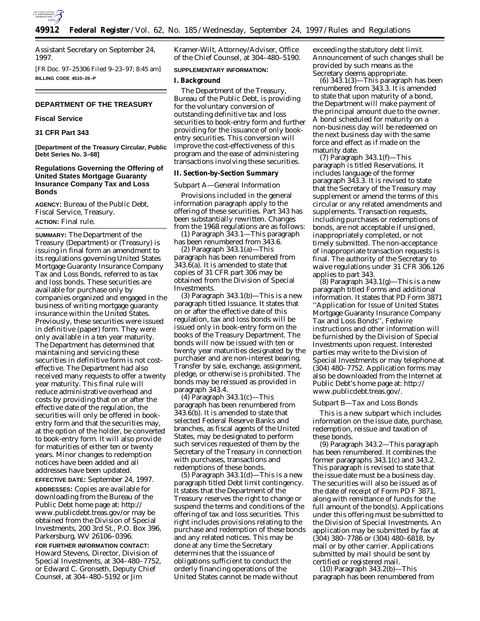

Assistant Secretary on September 24, 1997.

[FR Doc. 97–25306 Filed 9–23–97; 8:45 am] **BILLING CODE 4510–26–P**

## **DEPARTMENT OF THE TREASURY**

#### **Fiscal Service**

# **31 CFR Part 343**

**[Department of the Treasury Circular, Public Debt Series No. 3–68]**

# **Regulations Governing the Offering of United States Mortgage Guaranty Insurance Company Tax and Loss Bonds**

**AGENCY:** Bureau of the Public Debt, Fiscal Service, Treasury. **ACTION:** Final rule.

**SUMMARY:** The Department of the Treasury (Department) or (Treasury) is issuing in final form an amendment to its regulations governing United States Mortgage Guaranty Insurance Company Tax and Loss Bonds, referred to as tax and loss bonds. These securities are available for purchase only by companies organized and engaged in the business of writing mortgage guaranty insurance within the United States. Previously, these securities were issued in definitive (paper) form. They were only available in a ten year maturity. The Department has determined that maintaining and servicing these securities in definitive form is not costeffective. The Department had also received many requests to offer a twenty year maturity. This final rule will reduce administrative overhead and costs by providing that on or after the effective date of the regulation, the securities will only be offered in bookentry form and that the securities may, at the option of the holder, be converted to book-entry form. It will also provide for maturities of either ten or twenty years. Minor changes to redemption notices have been added and all addresses have been updated.

**EFFECTIVE DATE:** September 24, 1997.

**ADDRESSES:** Copies are available for downloading from the Bureau of the Public Debt home page at: http:// www.publicdebt.treas.gov/or may be obtained from the Division of Special Investments, 200 3rd St., P.O. Box 396, Parkersburg, WV 26106–0396.

**FOR FURTHER INFORMATION CONTACT:** Howard Stevens, Director, Division of Special Investments, at 304–480–7752, or Edward C. Gronseth, Deputy Chief Counsel, at 304–480–5192 or Jim

Kramer-Wilt, Attorney/Adviser, Office of the Chief Counsel, at 304–480–5190.

## **SUPPLEMENTARY INFORMATION:**

## **I. Background**

The Department of the Treasury, Bureau of the Public Debt, is providing for the voluntary conversion of outstanding definitive tax and loss securities to book-entry form and further providing for the issuance of only bookentry securities. This conversion will improve the cost-effectiveness of this program and the ease of administering transactions involving these securities.

#### **II. Section-by-Section Summary**

#### *Subpart A—General Information*

Provisions included in the general information paragraph apply to the offering of these securities. Part 343 has been substantially rewritten. Changes from the 1968 regulations are as follows:

(1) Paragraph 343.1—This paragraph has been renumbered from 343.6.

(2) Paragraph 343.1(a)—This paragraph has been renumbered from 343.6(a). It is amended to state that copies of 31 CFR part 306 may be obtained from the Division of Special Investments.

(3) Paragraph  $343.1(b)$ —This is a new paragraph titled Issuance. It states that on or after the effective date of this regulation, tax and loss bonds will be issued only in book-entry form on the books of the Treasury Department. The bonds will now be issued with ten or twenty year maturities designated by the purchaser and are non-interest bearing. Transfer by sale, exchange, assignment, pledge, or otherwise is prohibited. The bonds may be reissued as provided in paragraph 343.4.

(4) Paragraph 343.1(c)—This paragraph has been renumbered from 343.6(b). It is amended to state that selected Federal Reserve Banks and branches, as fiscal agents of the United States, may be designated to perform such services requested of them by the Secretary of the Treasury in connection with purchases, transactions and redemptions of these bonds.

(5) Paragraph 343.1(d)—This is a new paragraph titled Debt limit contingency. It states that the Department of the Treasury reserves the right to change or suspend the terms and conditions of the offering of tax and loss securities. This right includes provisions relating to the purchase and redemption of these bonds and any related notices. This may be done at any time the Secretary determines that the issuance of obligations sufficient to conduct the orderly financing operations of the United States cannot be made without

exceeding the statutory debt limit. Announcement of such changes shall be provided by such means as the Secretary deems appropriate.

 $(6)$  343.1 $(3)$ —This paragraph has been renumbered from 343.3. It is amended to state that upon maturity of a bond, the Department will make payment of the principal amount due to the owner. A bond scheduled for maturity on a non-business day will be redeemed on the next business day with the same force and effect as if made on the maturity date.

(7) Paragraph 343.1(f)—This paragraph is titled Reservations. It includes language of the former paragraph 343.3. It is revised to state that the Secretary of the Treasury may supplement or amend the terms of this circular or any related amendments and supplements. Transaction requests, including purchases or redemptions of bonds, are not acceptable if unsigned, inappropriately completed, or not timely submitted. The non-acceptance of inappropriate transaction requests is final. The authority of the Secretary to waive regulations under 31 CFR 306.126 applies to part 343.

 $(8)$  Paragraph 343.1 $(g)$ —This is a new paragraph titled Forms and additional information. It states that PD Form 3871 ''Application for Issue of United States Mortgage Guaranty Insurance Company Tax and Loss Bonds'', Fedwire instructions and other information will be furnished by the Division of Special Investments upon request. Interested parties may write to the Division of Special Investments or may telephone at (304) 480–7752. Application forms may also be downloaded from the Internet at Public Debt's home page at: http:// www.publicdebt.treas.gov/.

#### *Subpart B—Tax and Loss Bonds*

This is a new subpart which includes information on the issue date, purchase, redemption, reissue and taxation of these bonds.

(9) Paragraph 343.2—This paragraph has been renumbered. It combines the former paragraphs 343.1(c) and 343.2. This paragraph is revised to state that the issue date must be a business day. The securities will also be issued as of the date of receipt of Form PD F 3871, along with remittance of funds for the full amount of the bond(s). Applications under this offering must be submitted to the Division of Special Investments. An application may be submitted by fax at (304) 380–7786 or (304) 480–6818, by mail or by other carrier. Applications submitted by mail should be sent by certified or registered mail.

(10) Paragraph 343.2(b)—This paragraph has been renumbered from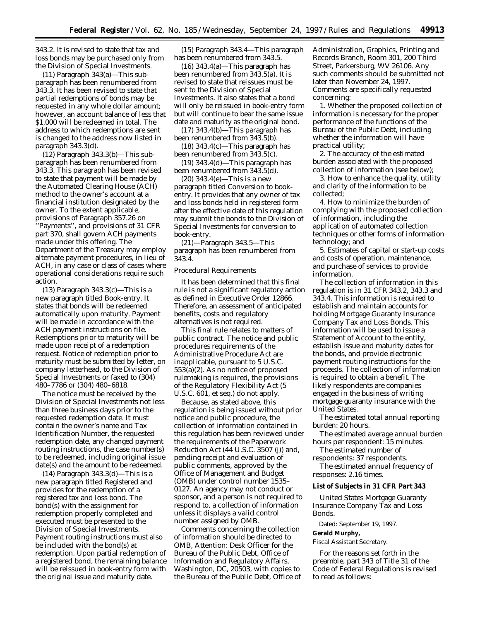343.2. It is revised to state that tax and loss bonds may be purchased only from the Division of Special Investments.

(11) Paragraph 343(a)—This subparagraph has been renumbered from 343.3. It has been revised to state that partial redemptions of bonds may be requested in any whole dollar amount; however, an account balance of less that \$1,000 will be redeemed in total. The address to which redemptions are sent is changed to the address now listed in paragraph 343.3(d).

(12) Paragraph 343.3(b)—This subparagraph has been renumbered from 343.3. This paragraph has been revised to state that payment will be made by the Automated Clearing House (ACH) method to the owner's account at a financial institution designated by the owner. To the extent applicable, provisions of Paragraph 357.26 on ''Payments'', and provisions of 31 CFR part 370, shall govern ACH payments made under this offering. The Department of the Treasury may employ alternate payment procedures, in lieu of ACH, in any case or class of cases where operational considerations require such action.

(13) Paragraph 343.3(c)—This is a new paragraph titled Book-entry. It states that bonds will be redeemed automatically upon maturity. Payment will be made in accordance with the ACH payment instructions on file. Redemptions prior to maturity will be made upon receipt of a redemption request. Notice of redemption prior to maturity must be submitted by letter, on company letterhead, to the Division of Special Investments or faxed to (304) 480–7786 or (304) 480–6818.

The notice must be received by the Division of Special Investments not less than three business days prior to the requested redemption date. It must contain the owner's name and Tax Identification Number, the requested redemption date, any changed payment routing instructions, the case number(s) to be redeemed, including original issue date(s) and the amount to be redeemed.

(14) Paragraph 343.3(d)—This is a new paragraph titled Registered and provides for the redemption of a registered tax and loss bond. The bond(s) with the assignment for redemption properly completed and executed must be presented to the Division of Special Investments. Payment routing instructions must also be included with the bond(s) at redemption. Upon partial redemption of a registered bond, the remaining balance will be reissued in book-entry form with the original issue and maturity date.

(15) Paragraph 343.4—This paragraph has been renumbered from 343.5.

(16) 343.4(a)—This paragraph has been renumbered from 343.5(a). It is revised to state that reissues must be sent to the Division of Special Investments. It also states that a bond will only be reissued in book-entry form but will continue to bear the same issue date and maturity as the original bond.

(17) 343.4(b)—This paragraph has been renumbered from 343.5(b).

(18) 343.4(c)—This paragraph has been renumbered from 343.5(c).

(19) 343.4(d)—This paragraph has been renumbered from 343.5(d).

(20) 343.4(e)—This is a new paragraph titled Conversion to bookentry. It provides that any owner of tax and loss bonds held in registered form after the effective date of this regulation may submit the bonds to the Division of Special Investments for conversion to book-entry.

(21)—Paragraph 343.5—This paragraph has been renumbered from 343.4.

#### *Procedural Requirements*

It has been determined that this final rule is not a significant regulatory action as defined in Executive Order 12866. Therefore, an assessment of anticipated benefits, costs and regulatory alternatives is not required.

This final rule relates to matters of public contract. The notice and public procedures requirements of the Administrative Procedure Act are inapplicable, pursuant to 5 U.S.C. 553(a)(2). As no notice of proposed rulemaking is required, the provisions of the Regulatory Flexibility Act (5 U.S.C. 601, *et seq.*) do not apply.

Because, as stated above, this regulation is being issued without prior notice and public procedure, the collection of information contained in this regulation has been reviewed under the requirements of the Paperwork Reduction Act (44 U.S.C. 3507 (j)) and, pending receipt and evaluation of public comments, approved by the Office of Management and Budget (OMB) under control number 1535– 0127. An agency may not conduct or sponsor, and a person is not required to respond to, a collection of information unless it displays a valid control number assigned by OMB.

Comments concerning the collection of information should be directed to OMB, Attention: Desk Officer for the Bureau of the Public Debt, Office of Information and Regulatory Affairs, Washington, DC, 20503, with copies to the Bureau of the Public Debt, Office of Administration, Graphics, Printing and Records Branch, Room 301, 200 Third Street, Parkersburg, WV 26106. Any such comments should be submitted not later than November 24, 1997. Comments are specifically requested concerning:

1. Whether the proposed collection of information is necessary for the proper performance of the functions of the Bureau of the Public Debt, including whether the information will have practical utility;

2. The accuracy of the estimated burden associated with the proposed collection of information (see below);

3. How to enhance the quality, utility and clarity of the information to be collected;

4. How to minimize the burden of complying with the proposed collection of information, including the application of automated collection techniques or other forms of information technology; and

5. Estimates of capital or start-up costs and costs of operation, maintenance, and purchase of services to provide information.

The collection of information in this regulation is in 31 CFR 343.2, 343.3 and 343.4. This information is required to establish and maintain accounts for holding Mortgage Guaranty Insurance Company Tax and Loss Bonds. This information will be used to issue a Statement of Account to the entity, establish issue and maturity dates for the bonds, and provide electronic payment routing instructions for the proceeds. The collection of information is required to obtain a benefit. The likely respondents are companies engaged in the business of writing mortgage guaranty insurance with the United States.

*The estimated total annual reporting burden:* 20 hours.

*The estimated average annual burden hours per respondent:* 15 minutes.

*The estimated number of*

*respondents:* 37 respondents. *The estimated annual frequency of*

*responses:* 2.16 times.

# **List of Subjects in 31 CFR Part 343**

United States Mortgage Guaranty Insurance Company Tax and Loss Bonds.

Dated: September 19, 1997.

#### **Gerald Murphy,**

*Fiscal Assistant Secretary.*

For the reasons set forth in the preamble, part 343 of Title 31 of the Code of Federal Regulations is revised to read as follows: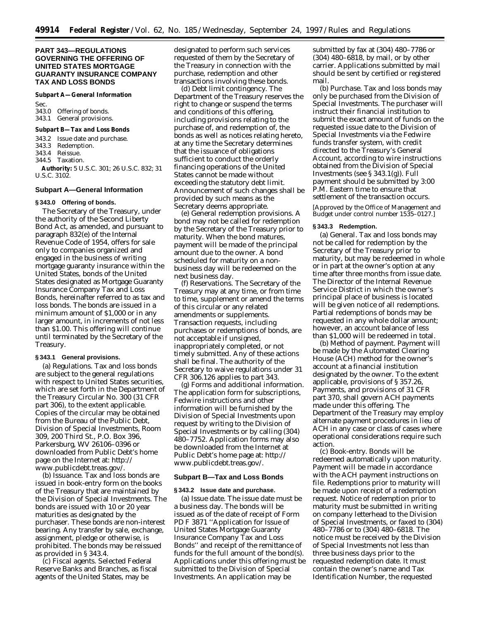## **PART 343—REGULATIONS GOVERNING THE OFFERING OF UNITED STATES MORTGAGE GUARANTY INSURANCE COMPANY TAX AND LOSS BONDS**

#### **Subpart A—General Information**

Sec. 343.0 Offering of bonds. 343.1 General provisions.

#### **Subpart B—Tax and Loss Bonds**

343.2 Issue date and purchase.

- 343.3 Redemption.
- 343.4 Reissue.
- 344.5 Taxation.

**Authority:** 5 U.S.C. 301; 26 U.S.C. 832; 31 U.S.C. 3102.

#### **Subpart A—General Information**

## **§ 343.0 Offering of bonds.**

The Secretary of the Treasury, under the authority of the Second Liberty Bond Act, as amended, and pursuant to paragraph 832(e) of the Internal Revenue Code of 1954, offers for sale only to companies organized and engaged in the business of writing mortgage guaranty insurance within the United States, bonds of the United States designated as Mortgage Guaranty Insurance Company Tax and Loss Bonds, hereinafter referred to as tax and loss bonds. The bonds are issued in a minimum amount of \$1,000 or in any larger amount, in increments of not less than \$1.00. This offering will continue until terminated by the Secretary of the Treasury.

#### **§ 343.1 General provisions.**

(a) *Regulations.* Tax and loss bonds are subject to the general regulations with respect to United States securities, which are set forth in the Department of the Treasury Circular No. 300 (31 CFR part 306), to the extent applicable. Copies of the circular may be obtained from the Bureau of the Public Debt, Division of Special Investments, Room 309, 200 Third St., P.O. Box 396, Parkersburg, WV 26106–0396 or downloaded from Public Debt's home page on the Internet at: http:// www.publicdebt.treas.gov/.

(b) *Issuance.* Tax and loss bonds are issued in book-entry form on the books of the Treasury that are maintained by the Division of Special Investments. The bonds are issued with 10 or 20 year maturities as designated by the purchaser. These bonds are non-interest bearing. Any transfer by sale, exchange, assignment, pledge or otherwise, is prohibited. The bonds may be reissued as provided in § 343.4.

(c) *Fiscal agents.* Selected Federal Reserve Banks and Branches, as fiscal agents of the United States, may be

designated to perform such services requested of them by the Secretary of the Treasury in connection with the purchase, redemption and other transactions involving these bonds.

(d) *Debt limit contingency.* The Department of the Treasury reserves the right to change or suspend the terms and conditions of this offering, including provisions relating to the purchase of, and redemption of, the bonds as well as notices relating hereto, at any time the Secretary determines that the issuance of obligations sufficient to conduct the orderly financing operations of the United States cannot be made without exceeding the statutory debt limit. Announcement of such changes shall be provided by such means as the Secretary deems appropriate.

(e) *General redemption provisions.* A bond may not be called for redemption by the Secretary of the Treasury prior to maturity. When the bond matures, payment will be made of the principal amount due to the owner. A bond scheduled for maturity on a nonbusiness day will be redeemed on the next business day.

(f) *Reservations.* The Secretary of the Treasury may at any time, or from time to time, supplement or amend the terms of this circular or any related amendments or supplements. Transaction requests, including purchases or redemptions of bonds, are not acceptable if unsigned, inappropriately completed, or not timely submitted. Any of these actions shall be final. The authority of the Secretary to waive regulations under 31 CFR 306.126 applies to part 343.

(g) *Forms and additional information.* The application form for subscriptions, Fedwire instructions and other information will be furnished by the Division of Special Investments upon request by writing to the Division of Special Investments or by calling (304) 480–7752. Application forms may also be downloaded from the Internet at Public Debt's home page at: http:// www.publicdebt.treas.gov/.

#### **Subpart B—Tax and Loss Bonds**

## **§ 343.2 Issue date and purchase.**

(a) *Issue date.* The issue date must be a business day. The bonds will be issued as of the date of receipt of Form PD F 3871 ''Application for Issue of United States Mortgage Guaranty Insurance Company Tax and Loss Bonds'' and receipt of the remittance of funds for the full amount of the bond(s). Applications under this offering must be submitted to the Division of Special Investments. An application may be

submitted by fax at (304) 480–7786 or (304) 480–6818, by mail, or by other carrier. Applications submitted by mail should be sent by certified or registered mail.

(b) *Purchase.* Tax and loss bonds may only be purchased from the Division of Special Investments. The purchaser will instruct their financial institution to submit the exact amount of funds on the requested issue date to the Division of Special Investments via the Fedwire funds transfer system, with credit directed to the Treasury's General Account, according to wire instructions obtained from the Division of Special Investments (see § 343.1(g)). Full payment should be submitted by 3:00 P.M. Eastern time to ensure that settlement of the transaction occurs.

[Approved by the Office of Management and Budget under control number 1535–0127.]

#### **§ 343.3 Redemption.**

(a) *General.* Tax and loss bonds may not be called for redemption by the Secretary of the Treasury prior to maturity, but may be redeemed in whole or in part at the owner's option at any time after three months from issue date. The Director of the Internal Revenue Service District in which the owner's principal place of business is located will be given notice of all redemptions. Partial redemptions of bonds may be requested in any whole dollar amount; however, an account balance of less than \$1,000 will be redeemed in total.

(b) *Method of payment.* Payment will be made by the Automated Clearing House (ACH) method for the owner's account at a financial institution designated by the owner. To the extent applicable, provisions of § 357.26, Payments, and provisions of 31 CFR part 370, shall govern ACH payments made under this offering. The Department of the Treasury may employ alternate payment procedures in lieu of ACH in any case or class of cases where operational considerations require such action.

(c) *Book-entry.* Bonds will be redeemed automatically upon maturity. Payment will be made in accordance with the ACH payment instructions on file. Redemptions prior to maturity will be made upon receipt of a redemption request. Notice of redemption prior to maturity must be submitted in writing on company letterhead to the Division of Special Investments, or faxed to (304) 480–7786 or to (304) 480–6818. The notice must be received by the Division of Special Investments not less than three business days prior to the requested redemption date. It must contain the owner's name and Tax Identification Number, the requested